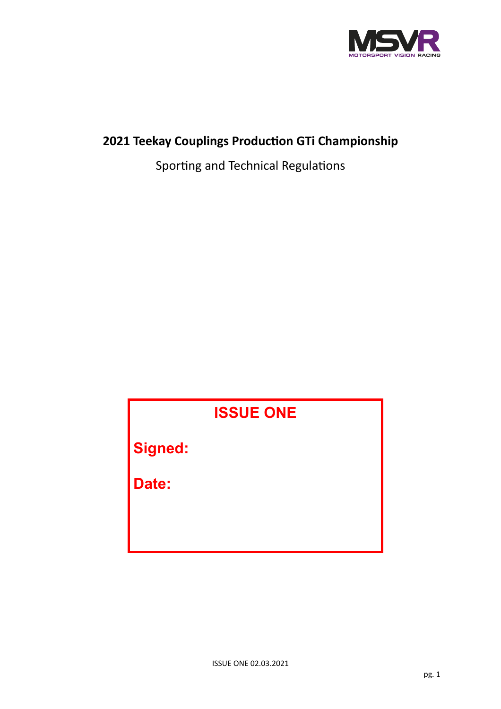

# **2021 Teekay Couplings Production GTi Championship**

Sporting and Technical Regulations

# **ISSUE ONE Signed: Date:**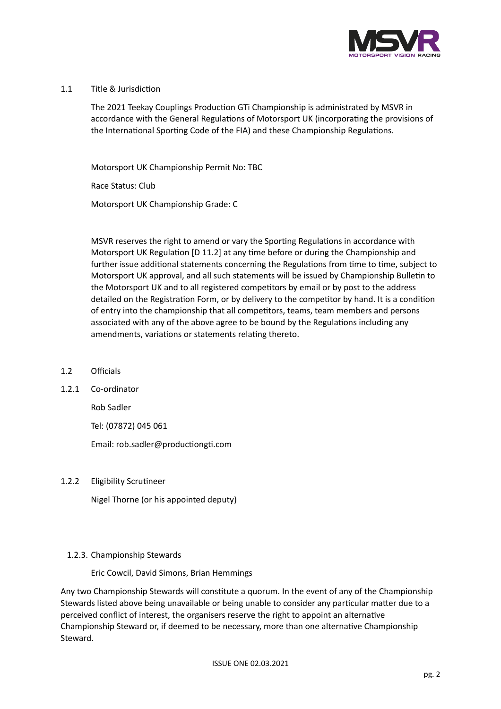

# 1.1 Title & Jurisdiction

The 2021 Teekay Couplings Production GTi Championship is administrated by MSVR in accordance with the General Regulations of Motorsport UK (incorporating the provisions of the International Sporting Code of the FIA) and these Championship Regulations.

Motorsport UK Championship Permit No: TBC

Race Status: Club

Motorsport UK Championship Grade: C

MSVR reserves the right to amend or vary the Sporting Regulations in accordance with Motorsport UK Regulation [D 11.2] at any time before or during the Championship and further issue additional statements concerning the Regulations from time to time, subject to Motorsport UK approval, and all such statements will be issued by Championship Bulletin to the Motorsport UK and to all registered competitors by email or by post to the address detailed on the Registration Form, or by delivery to the competitor by hand. It is a condition of entry into the championship that all competitors, teams, team members and persons associated with any of the above agree to be bound by the Regulations including any amendments, variations or statements relating thereto.

- 1.2 Officials
- 1.2.1 Co-ordinator

Rob Sadler

Tel: (07872) 045 061

Email: rob.sadler@productiongti.com

1.2.2 Eligibility Scrutineer

Nigel Thorne (or his appointed deputy)

# 1.2.3. Championship Stewards

Eric Cowcil, David Simons, Brian Hemmings

Any two Championship Stewards will constitute a quorum. In the event of any of the Championship Stewards listed above being unavailable or being unable to consider any particular matter due to a perceived conflict of interest, the organisers reserve the right to appoint an alternative Championship Steward or, if deemed to be necessary, more than one alternative Championship Steward.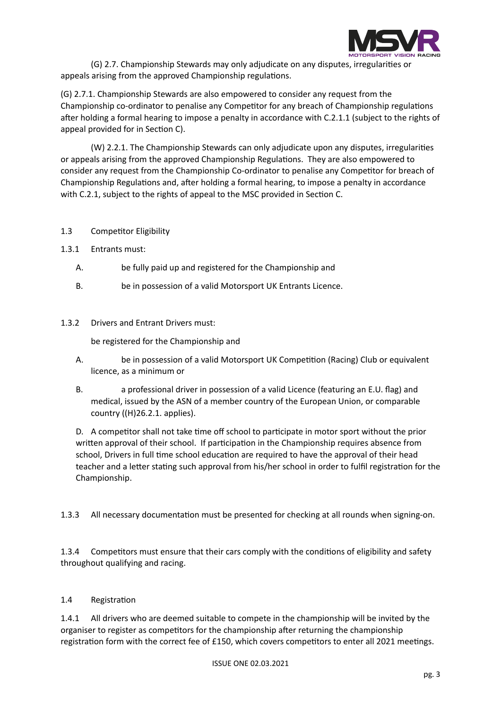

(G) 2.7. Championship Stewards may only adjudicate on any disputes, irregularities or appeals arising from the approved Championship regulations.

(G) 2.7.1. Championship Stewards are also empowered to consider any request from the Championship co-ordinator to penalise any Competitor for any breach of Championship regulations after holding a formal hearing to impose a penalty in accordance with C.2.1.1 (subject to the rights of appeal provided for in Section C).

(W) 2.2.1. The Championship Stewards can only adjudicate upon any disputes, irregularities or appeals arising from the approved Championship Regulations. They are also empowered to consider any request from the Championship Co-ordinator to penalise any Competitor for breach of Championship Regulations and, after holding a formal hearing, to impose a penalty in accordance with C.2.1, subject to the rights of appeal to the MSC provided in Section C.

# 1.3 Competitor Eligibility

- 1.3.1 Entrants must:
	- A. be fully paid up and registered for the Championship and
	- B. be in possession of a valid Motorsport UK Entrants Licence.
- 1.3.2 Drivers and Entrant Drivers must:

be registered for the Championship and

- A. be in possession of a valid Motorsport UK Competition (Racing) Club or equivalent licence, as a minimum or
- B. a professional driver in possession of a valid Licence (featuring an E.U. flag) and medical, issued by the ASN of a member country of the European Union, or comparable country ((H)26.2.1. applies).

D. A competitor shall not take time off school to participate in motor sport without the prior written approval of their school. If participation in the Championship requires absence from school, Drivers in full time school education are required to have the approval of their head teacher and a letter stating such approval from his/her school in order to fulfil registration for the Championship.

1.3.3 All necessary documentation must be presented for checking at all rounds when signing-on.

1.3.4 Competitors must ensure that their cars comply with the conditions of eligibility and safety throughout qualifying and racing.

# 1.4 Registration

1.4.1 All drivers who are deemed suitable to compete in the championship will be invited by the organiser to register as competitors for the championship after returning the championship registration form with the correct fee of £150, which covers competitors to enter all 2021 meetings.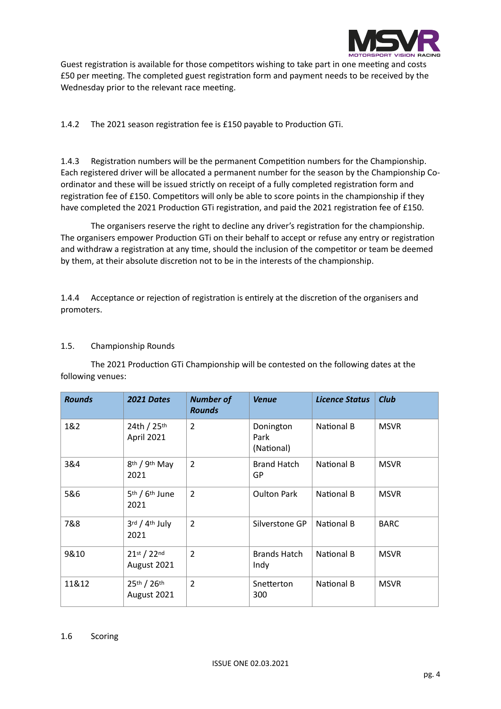

Guest registration is available for those competitors wishing to take part in one meeting and costs £50 per meeting. The completed guest registration form and payment needs to be received by the Wednesday prior to the relevant race meeting.

1.4.2 The 2021 season registration fee is £150 payable to Production GTi.

1.4.3 Registration numbers will be the permanent Competition numbers for the Championship. Each registered driver will be allocated a permanent number for the season by the Championship Coordinator and these will be issued strictly on receipt of a fully completed registration form and registration fee of £150. Competitors will only be able to score points in the championship if they have completed the 2021 Production GTi registration, and paid the 2021 registration fee of £150.

The organisers reserve the right to decline any driver's registration for the championship. The organisers empower Production GTi on their behalf to accept or refuse any entry or registration and withdraw a registration at any time, should the inclusion of the competitor or team be deemed by them, at their absolute discretion not to be in the interests of the championship.

1.4.4 Acceptance or rejection of registration is entirely at the discretion of the organisers and promoters.

# 1.5. Championship Rounds

The 2021 Production GTi Championship will be contested on the following dates at the following venues:

| <b>Rounds</b> | 2021 Dates                                     | <b>Number of</b><br><b>Rounds</b> | <b>Venue</b>                    | <b>Licence Status</b> | <b>Club</b> |
|---------------|------------------------------------------------|-----------------------------------|---------------------------------|-----------------------|-------------|
| 1&2           | 24th / 25th<br>April 2021                      | $\overline{2}$                    | Donington<br>Park<br>(National) | National B            | <b>MSVR</b> |
| 3&4           | 8th / 9th May<br>2021                          | $\overline{2}$                    | <b>Brand Hatch</b><br>GP        | National B            | <b>MSVR</b> |
| 5&6           | 5 <sup>th</sup> / 6 <sup>th</sup> June<br>2021 | $\overline{2}$                    | <b>Oulton Park</b>              | National B            | <b>MSVR</b> |
| 7&8           | $3^{\text{rd}}$ / $4^{\text{th}}$ July<br>2021 | $\overline{2}$                    | Silverstone GP                  | National B            | <b>BARC</b> |
| 9&10          | 21st / 22nd<br>August 2021                     | $\overline{2}$                    | <b>Brands Hatch</b><br>Indy     | National B            | <b>MSVR</b> |
| 11&12         | 25th / 26th<br>August 2021                     | 2                                 | Snetterton<br>300               | National B            | <b>MSVR</b> |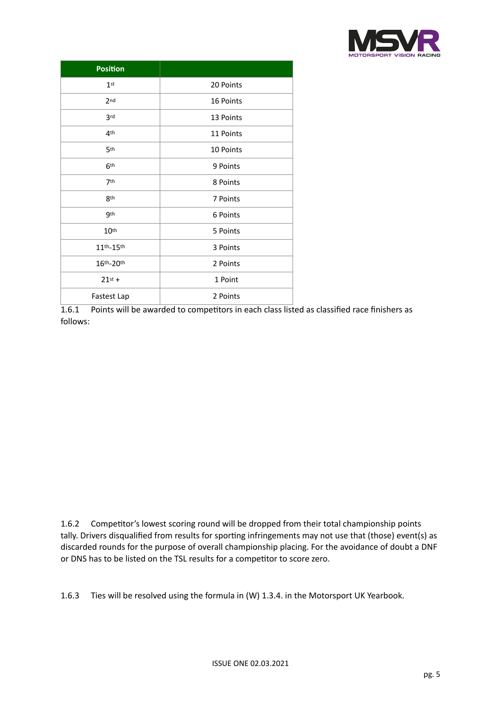

| <b>Position</b>  |           |  |  |
|------------------|-----------|--|--|
| 1 <sup>st</sup>  | 20 Points |  |  |
| 2 <sub>nd</sub>  | 16 Points |  |  |
| 3rd              | 13 Points |  |  |
| 4 <sup>th</sup>  | 11 Points |  |  |
| 5th              | 10 Points |  |  |
| 6 <sup>th</sup>  | 9 Points  |  |  |
| 7th              | 8 Points  |  |  |
| 8 <sup>th</sup>  | 7 Points  |  |  |
| 9 <sub>th</sub>  | 6 Points  |  |  |
| 10 <sup>th</sup> | 5 Points  |  |  |
| 11th-15th        | 3 Points  |  |  |
| 16th-20th        | 2 Points  |  |  |
| $21st +$         | 1 Point   |  |  |
| Fastest Lap      | 2 Points  |  |  |

1.6.1 Points will be awarded to competitors in each class listed as classified race finishers as follows:

1.6.2 Competitor's lowest scoring round will be dropped from their total championship points tally. Drivers disqualified from results for sporting infringements may not use that (those) event(s) as discarded rounds for the purpose of overall championship placing. For the avoidance of doubt a DNF or DNS has to be listed on the TSL results for a competitor to score zero.

1.6.3 Ties will be resolved using the formula in (W) 1.3.4. in the Motorsport UK Yearbook.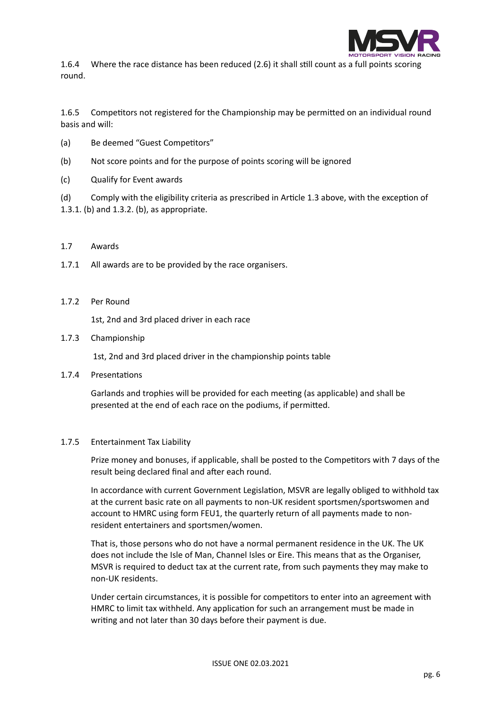

1.6.4 Where the race distance has been reduced (2.6) it shall still count as a full points scoring round.

1.6.5 Competitors not registered for the Championship may be permitted on an individual round basis and will:

- (a) Be deemed "Guest Competitors"
- (b) Not score points and for the purpose of points scoring will be ignored
- (c) Qualify for Event awards

(d) Comply with the eligibility criteria as prescribed in Article 1.3 above, with the exception of 1.3.1. (b) and 1.3.2. (b), as appropriate.

# 1.7 Awards

- 1.7.1 All awards are to be provided by the race organisers.
- 1.7.2 Per Round

1st, 2nd and 3rd placed driver in each race

1.7.3 Championship

1st, 2nd and 3rd placed driver in the championship points table

1.7.4 Presentations

Garlands and trophies will be provided for each meeting (as applicable) and shall be presented at the end of each race on the podiums, if permitted.

#### 1.7.5 Entertainment Tax Liability

Prize money and bonuses, if applicable, shall be posted to the Competitors with 7 days of the result being declared final and after each round.

In accordance with current Government Legislation, MSVR are legally obliged to withhold tax at the current basic rate on all payments to non-UK resident sportsmen/sportswomen and account to HMRC using form FEU1, the quarterly return of all payments made to nonresident entertainers and sportsmen/women.

That is, those persons who do not have a normal permanent residence in the UK. The UK does not include the Isle of Man, Channel Isles or Eire. This means that as the Organiser, MSVR is required to deduct tax at the current rate, from such payments they may make to non-UK residents.

Under certain circumstances, it is possible for competitors to enter into an agreement with HMRC to limit tax withheld. Any application for such an arrangement must be made in writing and not later than 30 days before their payment is due.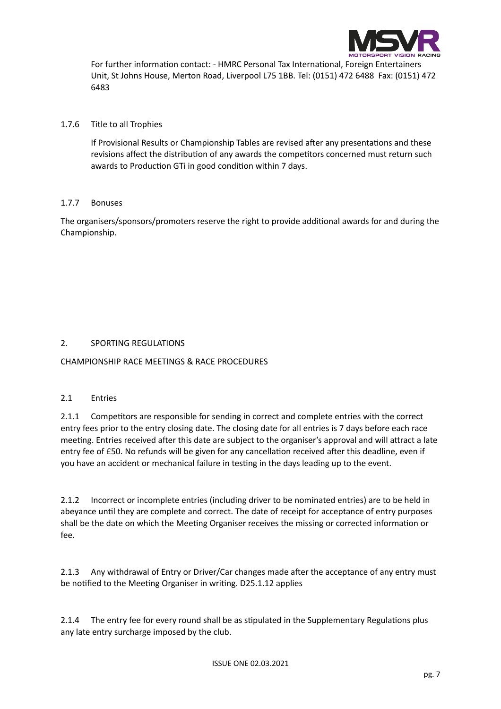

For further information contact: - HMRC Personal Tax International, Foreign Entertainers Unit, St Johns House, Merton Road, Liverpool L75 1BB. Tel: (0151) 472 6488 Fax: (0151) 472 6483

# 1.7.6 Title to all Trophies

If Provisional Results or Championship Tables are revised after any presentations and these revisions affect the distribution of any awards the competitors concerned must return such awards to Production GTi in good condition within 7 days.

# 1.7.7 Bonuses

The organisers/sponsors/promoters reserve the right to provide additional awards for and during the Championship.

# 2. SPORTING REGULATIONS

CHAMPIONSHIP RACE MEETINGS & RACE PROCEDURES

# 2.1 Entries

2.1.1 Competitors are responsible for sending in correct and complete entries with the correct entry fees prior to the entry closing date. The closing date for all entries is 7 days before each race meeting. Entries received after this date are subject to the organiser's approval and will attract a late entry fee of £50. No refunds will be given for any cancellation received after this deadline, even if you have an accident or mechanical failure in testing in the days leading up to the event.

2.1.2 Incorrect or incomplete entries (including driver to be nominated entries) are to be held in abeyance until they are complete and correct. The date of receipt for acceptance of entry purposes shall be the date on which the Meeting Organiser receives the missing or corrected information or fee.

2.1.3 Any withdrawal of Entry or Driver/Car changes made after the acceptance of any entry must be notified to the Meeting Organiser in writing. D25.1.12 applies

2.1.4 The entry fee for every round shall be as stipulated in the Supplementary Regulations plus any late entry surcharge imposed by the club.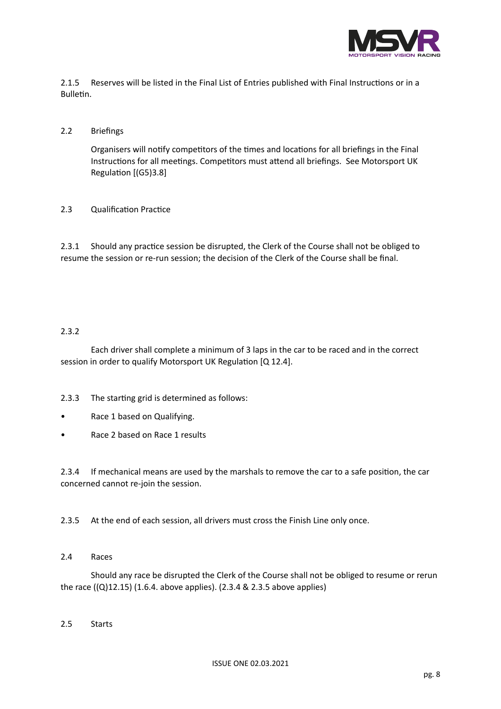

2.1.5 Reserves will be listed in the Final List of Entries published with Final Instructions or in a Bulletin.

# 2.2 Briefings

Organisers will notify competitors of the times and locations for all briefings in the Final Instructions for all meetings. Competitors must attend all briefings. See Motorsport UK Regulation [(G5)3.8]

# 2.3 Qualification Practice

2.3.1 Should any practice session be disrupted, the Clerk of the Course shall not be obliged to resume the session or re-run session; the decision of the Clerk of the Course shall be final.

# 2.3.2

Each driver shall complete a minimum of 3 laps in the car to be raced and in the correct session in order to qualify Motorsport UK Regulation [Q 12.4].

2.3.3 The starting grid is determined as follows:

- Race 1 based on Qualifying.
- Race 2 based on Race 1 results

2.3.4 If mechanical means are used by the marshals to remove the car to a safe position, the car concerned cannot re-join the session.

2.3.5 At the end of each session, all drivers must cross the Finish Line only once.

# 2.4 Races

Should any race be disrupted the Clerk of the Course shall not be obliged to resume or rerun the race  $((Q)12.15)$  (1.6.4. above applies). (2.3.4 & 2.3.5 above applies)

# 2.5 Starts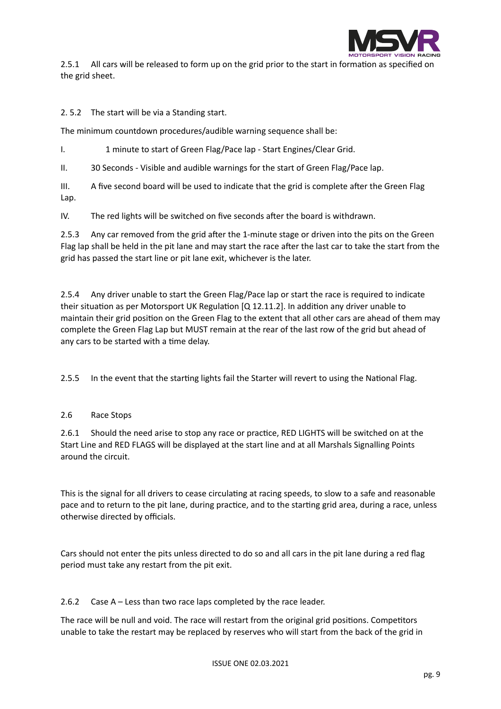

2.5.1 All cars will be released to form up on the grid prior to the start in formation as specified on the grid sheet.

2. 5.2 The start will be via a Standing start.

The minimum countdown procedures/audible warning sequence shall be:

I. 1 minute to start of Green Flag/Pace lap - Start Engines/Clear Grid.

II. 30 Seconds - Visible and audible warnings for the start of Green Flag/Pace lap.

III. A five second board will be used to indicate that the grid is complete after the Green Flag Lap.

IV. The red lights will be switched on five seconds after the board is withdrawn.

2.5.3 Any car removed from the grid after the 1-minute stage or driven into the pits on the Green Flag lap shall be held in the pit lane and may start the race after the last car to take the start from the grid has passed the start line or pit lane exit, whichever is the later.

2.5.4 Any driver unable to start the Green Flag/Pace lap or start the race is required to indicate their situation as per Motorsport UK Regulation [Q 12.11.2]. In addition any driver unable to maintain their grid position on the Green Flag to the extent that all other cars are ahead of them may complete the Green Flag Lap but MUST remain at the rear of the last row of the grid but ahead of any cars to be started with a time delay.

2.5.5 In the event that the starting lights fail the Starter will revert to using the National Flag.

# 2.6 Race Stops

2.6.1 Should the need arise to stop any race or practice, RED LIGHTS will be switched on at the Start Line and RED FLAGS will be displayed at the start line and at all Marshals Signalling Points around the circuit.

This is the signal for all drivers to cease circulating at racing speeds, to slow to a safe and reasonable pace and to return to the pit lane, during practice, and to the starting grid area, during a race, unless otherwise directed by officials.

Cars should not enter the pits unless directed to do so and all cars in the pit lane during a red flag period must take any restart from the pit exit.

2.6.2 Case A – Less than two race laps completed by the race leader.

The race will be null and void. The race will restart from the original grid positions. Competitors unable to take the restart may be replaced by reserves who will start from the back of the grid in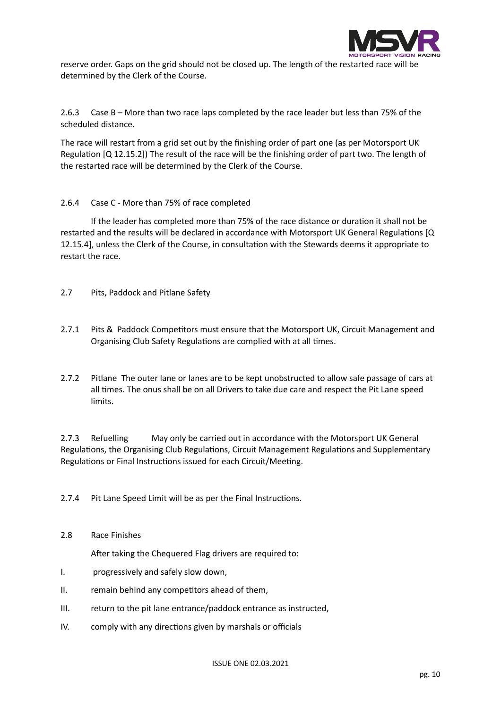

reserve order. Gaps on the grid should not be closed up. The length of the restarted race will be determined by the Clerk of the Course.

2.6.3 Case B – More than two race laps completed by the race leader but less than 75% of the scheduled distance.

The race will restart from a grid set out by the finishing order of part one (as per Motorsport UK Regulation [Q 12.15.2]) The result of the race will be the finishing order of part two. The length of the restarted race will be determined by the Clerk of the Course.

2.6.4 Case C - More than 75% of race completed

If the leader has completed more than 75% of the race distance or duration it shall not be restarted and the results will be declared in accordance with Motorsport UK General Regulations [Q 12.15.4], unless the Clerk of the Course, in consultation with the Stewards deems it appropriate to restart the race.

- 2.7 Pits, Paddock and Pitlane Safety
- 2.7.1 Pits & Paddock Competitors must ensure that the Motorsport UK, Circuit Management and Organising Club Safety Regulations are complied with at all times.
- 2.7.2 Pitlane The outer lane or lanes are to be kept unobstructed to allow safe passage of cars at all times. The onus shall be on all Drivers to take due care and respect the Pit Lane speed limits.

2.7.3 Refuelling May only be carried out in accordance with the Motorsport UK General Regulations, the Organising Club Regulations, Circuit Management Regulations and Supplementary Regulations or Final Instructions issued for each Circuit/Meeting.

2.7.4 Pit Lane Speed Limit will be as per the Final Instructions.

2.8 Race Finishes

After taking the Chequered Flag drivers are required to:

- I. progressively and safely slow down,
- II. remain behind any competitors ahead of them,
- III. return to the pit lane entrance/paddock entrance as instructed,
- IV. comply with any directions given by marshals or officials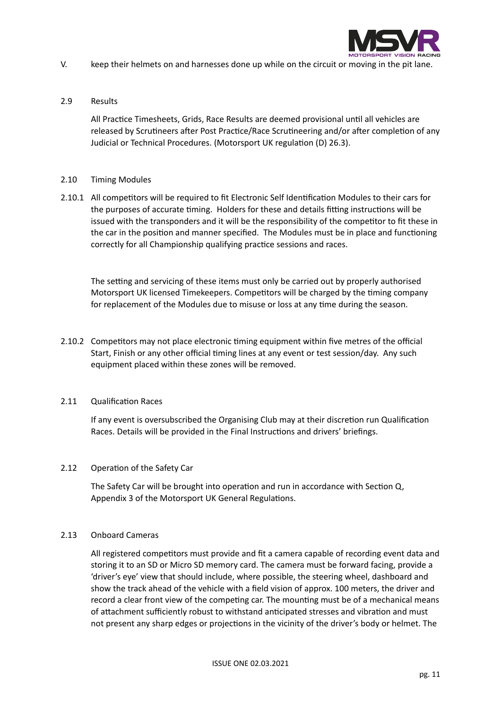

- V. keep their helmets on and harnesses done up while on the circuit or moving in the pit lane.
- 2.9 Results

All Practice Timesheets, Grids, Race Results are deemed provisional until all vehicles are released by Scrutineers after Post Practice/Race Scrutineering and/or after completion of any Judicial or Technical Procedures. (Motorsport UK regulation (D) 26.3).

# 2.10 Timing Modules

2.10.1 All competitors will be required to fit Electronic Self Identification Modules to their cars for the purposes of accurate timing. Holders for these and details fitting instructions will be issued with the transponders and it will be the responsibility of the competitor to fit these in the car in the position and manner specified. The Modules must be in place and functioning correctly for all Championship qualifying practice sessions and races.

The setting and servicing of these items must only be carried out by properly authorised Motorsport UK licensed Timekeepers. Competitors will be charged by the timing company for replacement of the Modules due to misuse or loss at any time during the season.

2.10.2 Competitors may not place electronic timing equipment within five metres of the official Start, Finish or any other official timing lines at any event or test session/day. Any such equipment placed within these zones will be removed.

# 2.11 Qualification Races

If any event is oversubscribed the Organising Club may at their discretion run Qualification Races. Details will be provided in the Final Instructions and drivers' briefings.

# 2.12 Operation of the Safety Car

The Safety Car will be brought into operation and run in accordance with Section Q, Appendix 3 of the Motorsport UK General Regulations.

# 2.13 Onboard Cameras

All registered competitors must provide and fit a camera capable of recording event data and storing it to an SD or Micro SD memory card. The camera must be forward facing, provide a 'driver's eye' view that should include, where possible, the steering wheel, dashboard and show the track ahead of the vehicle with a field vision of approx. 100 meters, the driver and record a clear front view of the competing car. The mounting must be of a mechanical means of attachment sufficiently robust to withstand anticipated stresses and vibration and must not present any sharp edges or projections in the vicinity of the driver's body or helmet. The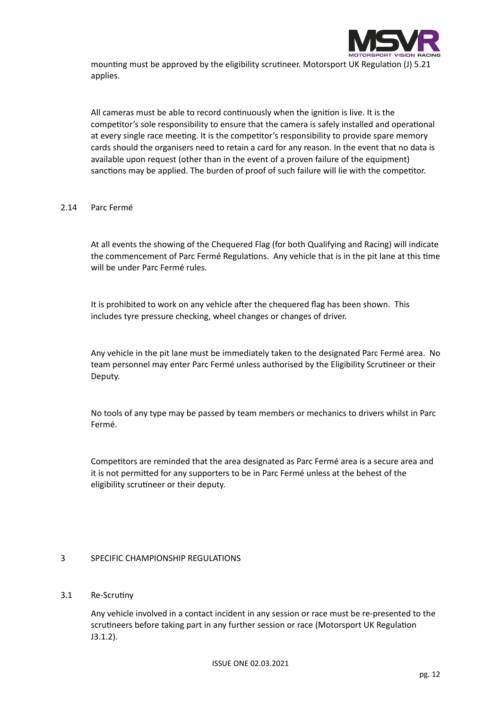

mounting must be approved by the eligibility scrutineer. Motorsport UK Regulation (J) 5.21 applies.

All cameras must be able to record continuously when the ignition is live. It is the competitor's sole responsibility to ensure that the camera is safely installed and operational at every single race meeting. It is the competitor's responsibility to provide spare memory cards should the organisers need to retain a card for any reason. In the event that no data is available upon request (other than in the event of a proven failure of the equipment) sanctions may be applied. The burden of proof of such failure will lie with the competitor.

# 2.14 Parc Fermé

At all events the showing of the Chequered Flag (for both Qualifying and Racing) will indicate the commencement of Parc Fermé Regulations. Any vehicle that is in the pit lane at this time will be under Parc Fermé rules.

It is prohibited to work on any vehicle after the chequered flag has been shown. This includes tyre pressure checking, wheel changes or changes of driver.

Any vehicle in the pit lane must be immediately taken to the designated Parc Fermé area. No team personnel may enter Parc Fermé unless authorised by the Eligibility Scrutineer or their Deputy.

No tools of any type may be passed by team members or mechanics to drivers whilst in Parc Fermé.

Competitors are reminded that the area designated as Parc Fermé area is a secure area and it is not permitted for any supporters to be in Parc Fermé unless at the behest of the eligibility scrutineer or their deputy.

# 3 SPECIFIC CHAMPIONSHIP REGULATIONS

# 3.1 Re-Scrutiny

Any vehicle involved in a contact incident in any session or race must be re-presented to the scrutineers before taking part in any further session or race (Motorsport UK Regulation J3.1.2).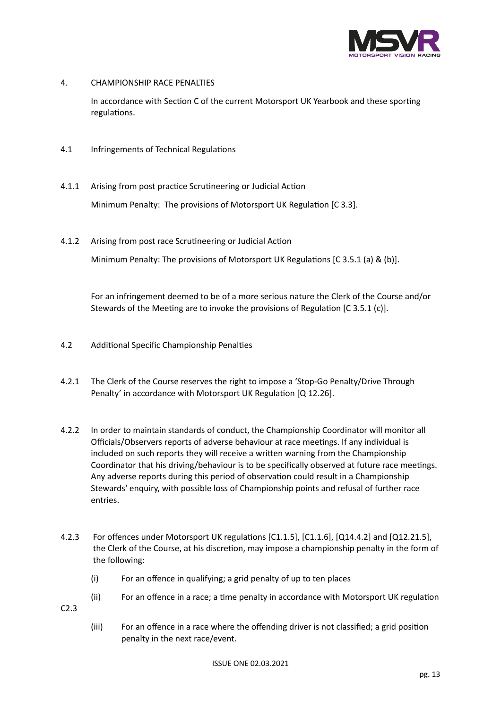

4. CHAMPIONSHIP RACE PENALTIES

In accordance with Section C of the current Motorsport UK Yearbook and these sporting regulations.

- 4.1 Infringements of Technical Regulations
- 4.1.1 Arising from post practice Scrutineering or Judicial Action Minimum Penalty: The provisions of Motorsport UK Regulation [C 3.3].
- 4.1.2 Arising from post race Scrutineering or Judicial Action Minimum Penalty: The provisions of Motorsport UK Regulations [C 3.5.1 (a) & (b)].

For an infringement deemed to be of a more serious nature the Clerk of the Course and/or Stewards of the Meeting are to invoke the provisions of Regulation [C 3.5.1 (c)].

- 4.2 Additional Specific Championship Penalties
- 4.2.1 The Clerk of the Course reserves the right to impose a 'Stop-Go Penalty/Drive Through Penalty' in accordance with Motorsport UK Regulation [Q 12.26].
- 4.2.2 In order to maintain standards of conduct, the Championship Coordinator will monitor all Officials/Observers reports of adverse behaviour at race meetings. If any individual is included on such reports they will receive a written warning from the Championship Coordinator that his driving/behaviour is to be specifically observed at future race meetings. Any adverse reports during this period of observation could result in a Championship Stewards' enquiry, with possible loss of Championship points and refusal of further race entries.
- 4.2.3 For offences under Motorsport UK regulations [C1.1.5], [C1.1.6], [Q14.4.2] and [Q12.21.5], the Clerk of the Course, at his discretion, may impose a championship penalty in the form of the following:
	- (i) For an offence in qualifying; a grid penalty of up to ten places
	- (ii) For an offence in a race; a time penalty in accordance with Motorsport UK regulation

C2.3

(iii) For an offence in a race where the offending driver is not classified; a grid position penalty in the next race/event.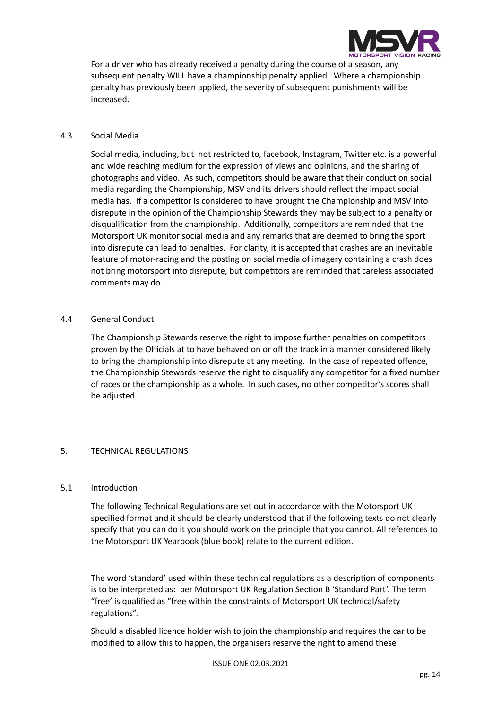

For a driver who has already received a penalty during the course of a season, any subsequent penalty WILL have a championship penalty applied. Where a championship penalty has previously been applied, the severity of subsequent punishments will be increased.

# 4.3 Social Media

Social media, including, but not restricted to, facebook, Instagram, Twitter etc. is a powerful and wide reaching medium for the expression of views and opinions, and the sharing of photographs and video. As such, competitors should be aware that their conduct on social media regarding the Championship, MSV and its drivers should reflect the impact social media has. If a competitor is considered to have brought the Championship and MSV into disrepute in the opinion of the Championship Stewards they may be subject to a penalty or disqualification from the championship. Additionally, competitors are reminded that the Motorsport UK monitor social media and any remarks that are deemed to bring the sport into disrepute can lead to penalties. For clarity, it is accepted that crashes are an inevitable feature of motor-racing and the posting on social media of imagery containing a crash does not bring motorsport into disrepute, but competitors are reminded that careless associated comments may do.

# 4.4 General Conduct

The Championship Stewards reserve the right to impose further penalties on competitors proven by the Officials at to have behaved on or off the track in a manner considered likely to bring the championship into disrepute at any meeting. In the case of repeated offence, the Championship Stewards reserve the right to disqualify any competitor for a fixed number of races or the championship as a whole. In such cases, no other competitor's scores shall be adjusted.

# 5. TECHNICAL REGULATIONS

# 5.1 Introduction

The following Technical Regulations are set out in accordance with the Motorsport UK specified format and it should be clearly understood that if the following texts do not clearly specify that you can do it you should work on the principle that you cannot. All references to the Motorsport UK Yearbook (blue book) relate to the current edition.

The word 'standard' used within these technical regulations as a description of components is to be interpreted as: per Motorsport UK Regulation Section B 'Standard Part'. The term "free' is qualified as "free within the constraints of Motorsport UK technical/safety regulations".

Should a disabled licence holder wish to join the championship and requires the car to be modified to allow this to happen, the organisers reserve the right to amend these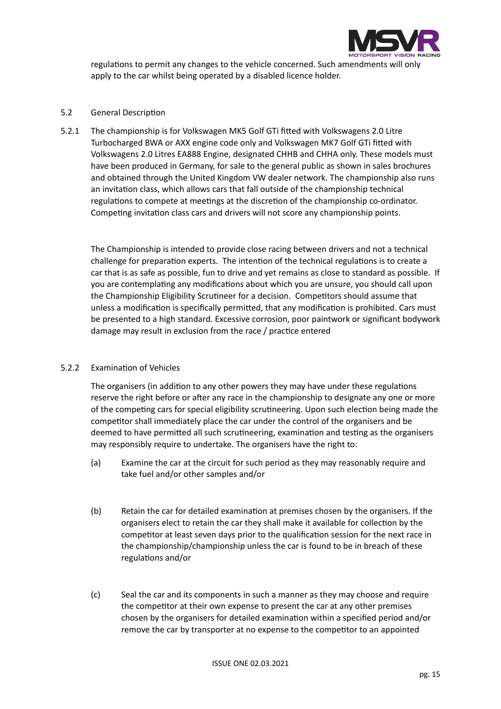

regulations to permit any changes to the vehicle concerned. Such amendments will only apply to the car whilst being operated by a disabled licence holder.

# 5.2 General Description

5.2.1 The championship is for Volkswagen MK5 Golf GTi fitted with Volkswagens 2.0 Litre Turbocharged BWA or AXX engine code only and Volkswagen MK7 Golf GTi fitted with Volkswagens 2.0 Litres EA888 Engine, designated CHHB and CHHA only. These models must have been produced in Germany, for sale to the general public as shown in sales brochures and obtained through the United Kingdom VW dealer network. The championship also runs an invitation class, which allows cars that fall outside of the championship technical regulations to compete at meetings at the discretion of the championship co-ordinator. Competing invitation class cars and drivers will not score any championship points.

The Championship is intended to provide close racing between drivers and not a technical challenge for preparation experts. The intention of the technical regulations is to create a car that is as safe as possible, fun to drive and yet remains as close to standard as possible. If you are contemplating any modifications about which you are unsure, you should call upon the Championship Eligibility Scrutineer for a decision. Competitors should assume that unless a modification is specifically permitted, that any modification is prohibited. Cars must be presented to a high standard. Excessive corrosion, poor paintwork or significant bodywork damage may result in exclusion from the race / practice entered

# 5.2.2 Examination of Vehicles

The organisers (in addition to any other powers they may have under these regulations reserve the right before or after any race in the championship to designate any one or more of the competing cars for special eligibility scrutineering. Upon such election being made the competitor shall immediately place the car under the control of the organisers and be deemed to have permitted all such scrutineering, examination and testing as the organisers may responsibly require to undertake. The organisers have the right to:

- (a) Examine the car at the circuit for such period as they may reasonably require and take fuel and/or other samples and/or
- (b) Retain the car for detailed examination at premises chosen by the organisers. If the organisers elect to retain the car they shall make it available for collection by the competitor at least seven days prior to the qualification session for the next race in the championship/championship unless the car is found to be in breach of these regulations and/or
- (c) Seal the car and its components in such a manner as they may choose and require the competitor at their own expense to present the car at any other premises chosen by the organisers for detailed examination within a specified period and/or remove the car by transporter at no expense to the competitor to an appointed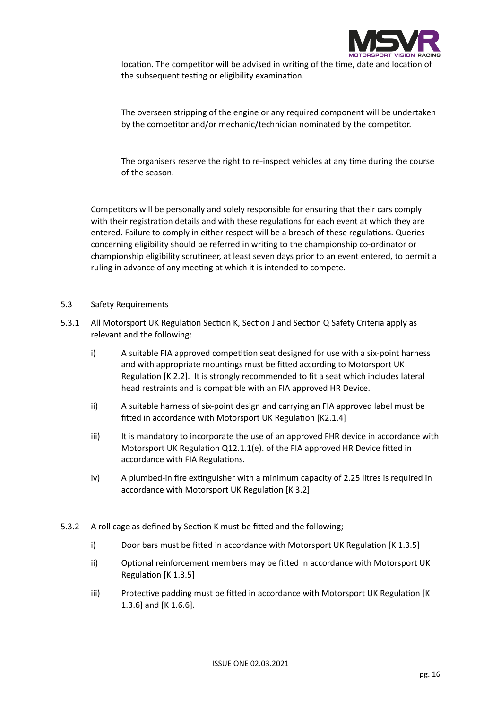

location. The competitor will be advised in writing of the time, date and location of the subsequent testing or eligibility examination.

The overseen stripping of the engine or any required component will be undertaken by the competitor and/or mechanic/technician nominated by the competitor.

The organisers reserve the right to re-inspect vehicles at any time during the course of the season.

Competitors will be personally and solely responsible for ensuring that their cars comply with their registration details and with these regulations for each event at which they are entered. Failure to comply in either respect will be a breach of these regulations. Queries concerning eligibility should be referred in writing to the championship co-ordinator or championship eligibility scrutineer, at least seven days prior to an event entered, to permit a ruling in advance of any meeting at which it is intended to compete.

#### 5.3 Safety Requirements

- 5.3.1 All Motorsport UK Regulation Section K, Section J and Section Q Safety Criteria apply as relevant and the following:
	- i) A suitable FIA approved competition seat designed for use with a six-point harness and with appropriate mountings must be fitted according to Motorsport UK Regulation [K 2.2]. It is strongly recommended to fit a seat which includes lateral head restraints and is compatible with an FIA approved HR Device.
	- ii) A suitable harness of six-point design and carrying an FIA approved label must be fitted in accordance with Motorsport UK Regulation [K2.1.4]
	- iii) It is mandatory to incorporate the use of an approved FHR device in accordance with Motorsport UK Regulation Q12.1.1(e). of the FIA approved HR Device fitted in accordance with FIA Regulations.
	- iv) A plumbed-in fire extinguisher with a minimum capacity of 2.25 litres is required in accordance with Motorsport UK Regulation [K 3.2]
- 5.3.2 A roll cage as defined by Section K must be fitted and the following;
	- i) Door bars must be fitted in accordance with Motorsport UK Regulation [K 1.3.5]
	- ii) Optional reinforcement members may be fitted in accordance with Motorsport UK Regulation [K 1.3.5]
	- iii) Protective padding must be fitted in accordance with Motorsport UK Regulation [K 1.3.6] and [K 1.6.6].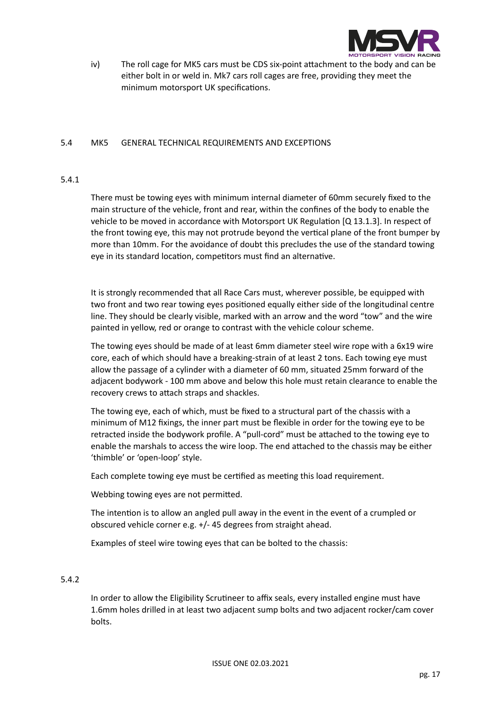

iv) The roll cage for MK5 cars must be CDS six-point attachment to the body and can be either bolt in or weld in. Mk7 cars roll cages are free, providing they meet the minimum motorsport UK specifications.

# 5.4 MK5 GENERAL TECHNICAL REQUIREMENTS AND EXCEPTIONS

# 5.4.1

There must be towing eyes with minimum internal diameter of 60mm securely fixed to the main structure of the vehicle, front and rear, within the confines of the body to enable the vehicle to be moved in accordance with Motorsport UK Regulation [Q 13.1.3]. In respect of the front towing eye, this may not protrude beyond the vertical plane of the front bumper by more than 10mm. For the avoidance of doubt this precludes the use of the standard towing eye in its standard location, competitors must find an alternative.

It is strongly recommended that all Race Cars must, wherever possible, be equipped with two front and two rear towing eyes positioned equally either side of the longitudinal centre line. They should be clearly visible, marked with an arrow and the word "tow" and the wire painted in yellow, red or orange to contrast with the vehicle colour scheme.

The towing eyes should be made of at least 6mm diameter steel wire rope with a 6x19 wire core, each of which should have a breaking-strain of at least 2 tons. Each towing eye must allow the passage of a cylinder with a diameter of 60 mm, situated 25mm forward of the adjacent bodywork - 100 mm above and below this hole must retain clearance to enable the recovery crews to attach straps and shackles.

The towing eye, each of which, must be fixed to a structural part of the chassis with a minimum of M12 fixings, the inner part must be flexible in order for the towing eye to be retracted inside the bodywork profile. A "pull-cord" must be attached to the towing eye to enable the marshals to access the wire loop. The end attached to the chassis may be either 'thimble' or 'open-loop' style.

Each complete towing eye must be certified as meeting this load requirement.

Webbing towing eyes are not permitted.

The intention is to allow an angled pull away in the event in the event of a crumpled or obscured vehicle corner e.g. +/- 45 degrees from straight ahead.

Examples of steel wire towing eyes that can be bolted to the chassis:

# 5.4.2

In order to allow the Eligibility Scrutineer to affix seals, every installed engine must have 1.6mm holes drilled in at least two adjacent sump bolts and two adjacent rocker/cam cover bolts.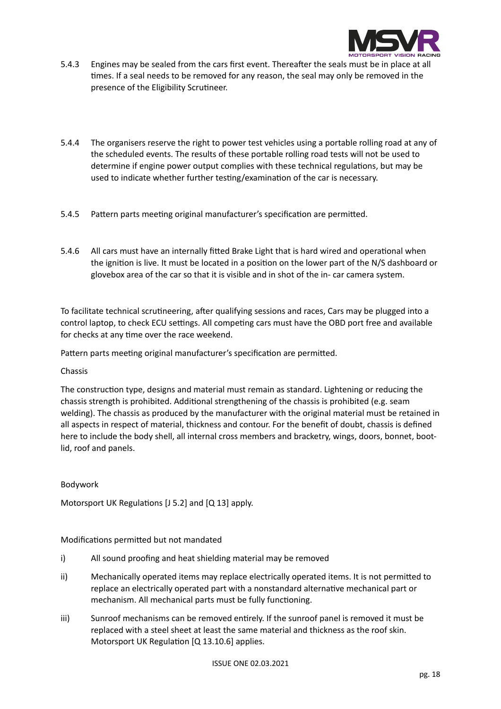

- 5.4.3 Engines may be sealed from the cars first event. Thereafter the seals must be in place at all times. If a seal needs to be removed for any reason, the seal may only be removed in the presence of the Eligibility Scrutineer.
- 5.4.4 The organisers reserve the right to power test vehicles using a portable rolling road at any of the scheduled events. The results of these portable rolling road tests will not be used to determine if engine power output complies with these technical regulations, but may be used to indicate whether further testing/examination of the car is necessary.
- 5.4.5 Pattern parts meeting original manufacturer's specification are permitted.
- 5.4.6 All cars must have an internally fitted Brake Light that is hard wired and operational when the ignition is live. It must be located in a position on the lower part of the N/S dashboard or glovebox area of the car so that it is visible and in shot of the in- car camera system.

To facilitate technical scrutineering, after qualifying sessions and races, Cars may be plugged into a control laptop, to check ECU settings. All competing cars must have the OBD port free and available for checks at any time over the race weekend.

Pattern parts meeting original manufacturer's specification are permitted.

# Chassis

The construction type, designs and material must remain as standard. Lightening or reducing the chassis strength is prohibited. Additional strengthening of the chassis is prohibited (e.g. seam welding). The chassis as produced by the manufacturer with the original material must be retained in all aspects in respect of material, thickness and contour. For the benefit of doubt, chassis is defined here to include the body shell, all internal cross members and bracketry, wings, doors, bonnet, bootlid, roof and panels.

# Bodywork

Motorsport UK Regulations [J 5.2] and [Q 13] apply.

# Modifications permitted but not mandated

- i) All sound proofing and heat shielding material may be removed
- ii) Mechanically operated items may replace electrically operated items. It is not permitted to replace an electrically operated part with a nonstandard alternative mechanical part or mechanism. All mechanical parts must be fully functioning.
- iii) Sunroof mechanisms can be removed entirely. If the sunroof panel is removed it must be replaced with a steel sheet at least the same material and thickness as the roof skin. Motorsport UK Regulation [Q 13.10.6] applies.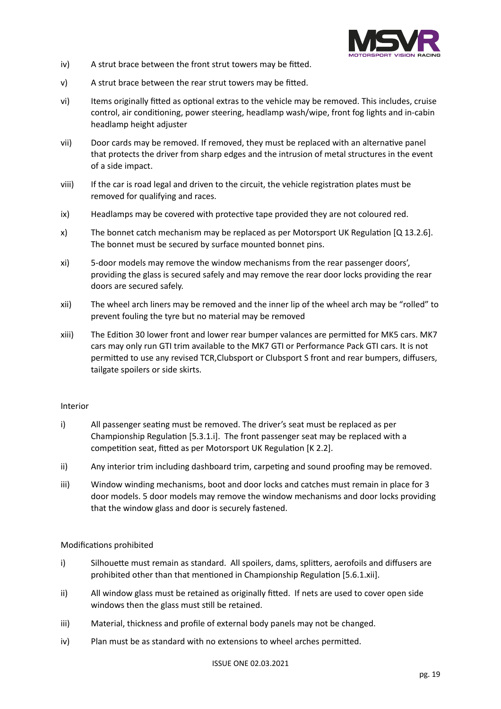

- iv) A strut brace between the front strut towers may be fitted.
- v) A strut brace between the rear strut towers may be fitted.
- vi) Items originally fitted as optional extras to the vehicle may be removed. This includes, cruise control, air conditioning, power steering, headlamp wash/wipe, front fog lights and in-cabin headlamp height adjuster
- vii) Door cards may be removed. If removed, they must be replaced with an alternative panel that protects the driver from sharp edges and the intrusion of metal structures in the event of a side impact.
- viii) If the car is road legal and driven to the circuit, the vehicle registration plates must be removed for qualifying and races.
- ix) Headlamps may be covered with protective tape provided they are not coloured red.
- x) The bonnet catch mechanism may be replaced as per Motorsport UK Regulation [Q 13.2.6]. The bonnet must be secured by surface mounted bonnet pins.
- xi) 5-door models may remove the window mechanisms from the rear passenger doors', providing the glass is secured safely and may remove the rear door locks providing the rear doors are secured safely.
- xii) The wheel arch liners may be removed and the inner lip of the wheel arch may be "rolled" to prevent fouling the tyre but no material may be removed
- xiii) The Edition 30 lower front and lower rear bumper valances are permitted for MK5 cars. MK7 cars may only run GTI trim available to the MK7 GTI or Performance Pack GTI cars. It is not permitted to use any revised TCR,Clubsport or Clubsport S front and rear bumpers, diffusers, tailgate spoilers or side skirts.

# Interior

- i) All passenger seating must be removed. The driver's seat must be replaced as per Championship Regulation [5.3.1.i]. The front passenger seat may be replaced with a competition seat, fitted as per Motorsport UK Regulation [K 2.2].
- ii) Any interior trim including dashboard trim, carpeting and sound proofing may be removed.
- iii) Window winding mechanisms, boot and door locks and catches must remain in place for 3 door models. 5 door models may remove the window mechanisms and door locks providing that the window glass and door is securely fastened.

# Modifications prohibited

- i) Silhouette must remain as standard. All spoilers, dams, splitters, aerofoils and diffusers are prohibited other than that mentioned in Championship Regulation [5.6.1.xii].
- ii) All window glass must be retained as originally fitted. If nets are used to cover open side windows then the glass must still be retained.
- iii) Material, thickness and profile of external body panels may not be changed.
- iv) Plan must be as standard with no extensions to wheel arches permitted.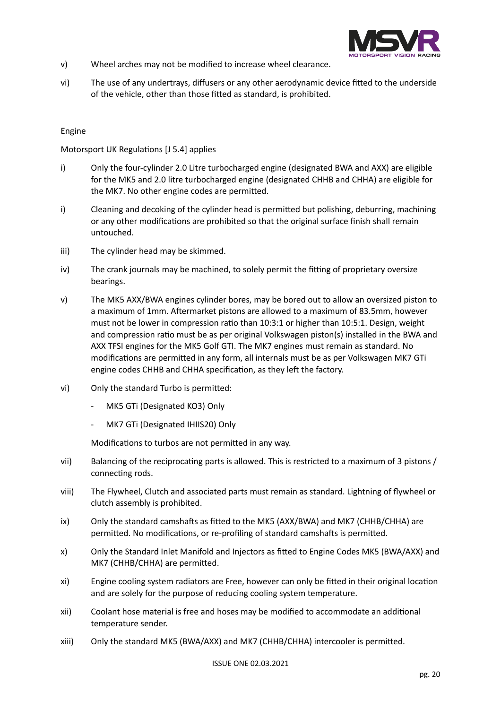

- v) Wheel arches may not be modified to increase wheel clearance.
- vi) The use of any undertrays, diffusers or any other aerodynamic device fitted to the underside of the vehicle, other than those fitted as standard, is prohibited.

# Engine

# Motorsport UK Regulations [J 5.4] applies

- i) Only the four-cylinder 2.0 Litre turbocharged engine (designated BWA and AXX) are eligible for the MK5 and 2.0 litre turbocharged engine (designated CHHB and CHHA) are eligible for the MK7. No other engine codes are permitted.
- i) Cleaning and decoking of the cylinder head is permitted but polishing, deburring, machining or any other modifications are prohibited so that the original surface finish shall remain untouched.
- iii) The cylinder head may be skimmed.
- iv) The crank journals may be machined, to solely permit the fitting of proprietary oversize bearings.
- v) The MK5 AXX/BWA engines cylinder bores, may be bored out to allow an oversized piston to a maximum of 1mm. Aftermarket pistons are allowed to a maximum of 83.5mm, however must not be lower in compression ratio than 10:3:1 or higher than 10:5:1. Design, weight and compression ratio must be as per original Volkswagen piston(s) installed in the BWA and AXX TFSI engines for the MK5 Golf GTI. The MK7 engines must remain as standard. No modifications are permitted in any form, all internals must be as per Volkswagen MK7 GTi engine codes CHHB and CHHA specification, as they left the factory.
- vi) Only the standard Turbo is permitted:
	- MK5 GTi (Designated KO3) Only
	- MK7 GTi (Designated IHIIS20) Only

Modifications to turbos are not permitted in any way.

- vii) Balancing of the reciprocating parts is allowed. This is restricted to a maximum of 3 pistons / connecting rods.
- viii) The Flywheel, Clutch and associated parts must remain as standard. Lightning of flywheel or clutch assembly is prohibited.
- ix) Only the standard camshafts as fitted to the MK5 (AXX/BWA) and MK7 (CHHB/CHHA) are permitted. No modifications, or re-profiling of standard camshafts is permitted.
- x) Only the Standard Inlet Manifold and Injectors as fitted to Engine Codes MK5 (BWA/AXX) and MK7 (CHHB/CHHA) are permitted.
- xi) Engine cooling system radiators are Free, however can only be fitted in their original location and are solely for the purpose of reducing cooling system temperature.
- xii) Coolant hose material is free and hoses may be modified to accommodate an additional temperature sender.
- xiii) Only the standard MK5 (BWA/AXX) and MK7 (CHHB/CHHA) intercooler is permitted.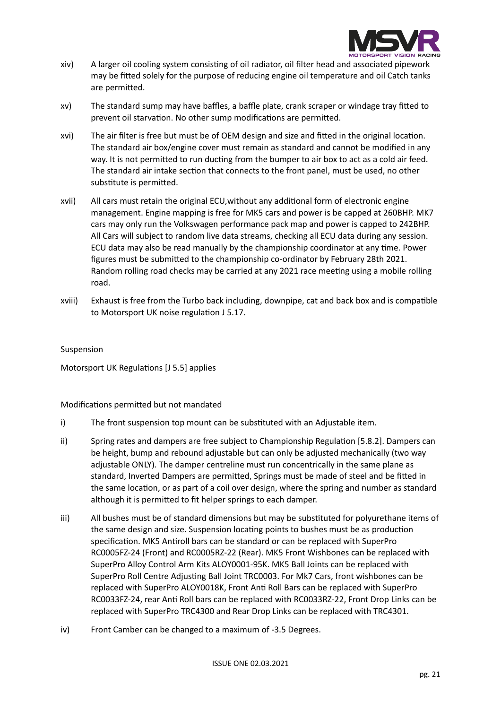

- xiv) A larger oil cooling system consisting of oil radiator, oil filter head and associated pipework may be fitted solely for the purpose of reducing engine oil temperature and oil Catch tanks are permitted.
- xv) The standard sump may have baffles, a baffle plate, crank scraper or windage tray fitted to prevent oil starvation. No other sump modifications are permitted.
- xvi) The air filter is free but must be of OEM design and size and fitted in the original location. The standard air box/engine cover must remain as standard and cannot be modified in any way. It is not permitted to run ducting from the bumper to air box to act as a cold air feed. The standard air intake section that connects to the front panel, must be used, no other substitute is permitted.
- xvii) All cars must retain the original ECU,without any additional form of electronic engine management. Engine mapping is free for MK5 cars and power is be capped at 260BHP. MK7 cars may only run the Volkswagen performance pack map and power is capped to 242BHP. All Cars will subject to random live data streams, checking all ECU data during any session. ECU data may also be read manually by the championship coordinator at any time. Power figures must be submitted to the championship co-ordinator by February 28th 2021. Random rolling road checks may be carried at any 2021 race meeting using a mobile rolling road.
- xviii) Exhaust is free from the Turbo back including, downpipe, cat and back box and is compatible to Motorsport UK noise regulation J 5.17.

# Suspension

Motorsport UK Regulations [J 5.5] applies

Modifications permitted but not mandated

- i) The front suspension top mount can be substituted with an Adjustable item.
- ii) Spring rates and dampers are free subject to Championship Regulation [5.8.2]. Dampers can be height, bump and rebound adjustable but can only be adjusted mechanically (two way adjustable ONLY). The damper centreline must run concentrically in the same plane as standard, Inverted Dampers are permitted, Springs must be made of steel and be fitted in the same location, or as part of a coil over design, where the spring and number as standard although it is permitted to fit helper springs to each damper.
- iii) All bushes must be of standard dimensions but may be substituted for polyurethane items of the same design and size. Suspension locating points to bushes must be as production specification. MK5 Antiroll bars can be standard or can be replaced with SuperPro RC0005FZ-24 (Front) and RC0005RZ-22 (Rear). MK5 Front Wishbones can be replaced with SuperPro Alloy Control Arm Kits ALOY0001-95K. MK5 Ball Joints can be replaced with SuperPro Roll Centre Adjusting Ball Joint TRC0003. For Mk7 Cars, front wishbones can be replaced with SuperPro ALOY0018K, Front Anti Roll Bars can be replaced with SuperPro RC0033FZ-24, rear Anti Roll bars can be replaced with RC0033RZ-22, Front Drop Links can be replaced with SuperPro TRC4300 and Rear Drop Links can be replaced with TRC4301.
- iv) Front Camber can be changed to a maximum of -3.5 Degrees.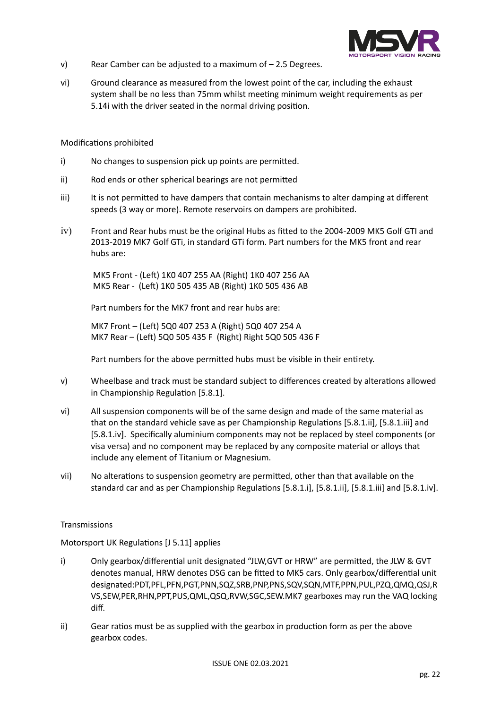

- v) Rear Camber can be adjusted to a maximum of 2.5 Degrees.
- vi) Ground clearance as measured from the lowest point of the car, including the exhaust system shall be no less than 75mm whilst meeting minimum weight requirements as per 5.14i with the driver seated in the normal driving position.

#### Modifications prohibited

- i) No changes to suspension pick up points are permitted.
- ii) Rod ends or other spherical bearings are not permitted
- iii) It is not permitted to have dampers that contain mechanisms to alter damping at different speeds (3 way or more). Remote reservoirs on dampers are prohibited.
- iv) Front and Rear hubs must be the original Hubs as fitted to the 2004-2009 MK5 Golf GTI and 2013-2019 MK7 Golf GTi, in standard GTi form. Part numbers for the MK5 front and rear hubs are:

 MK5 Front - (Left) 1K0 407 255 AA (Right) 1K0 407 256 AA MK5 Rear - (Left) 1K0 505 435 AB (Right) 1K0 505 436 AB

Part numbers for the MK7 front and rear hubs are:

MK7 Front – (Left) 5Q0 407 253 A (Right) 5Q0 407 254 A MK7 Rear – (Left) 5Q0 505 435 F (Right) Right 5Q0 505 436 F

Part numbers for the above permitted hubs must be visible in their entirety.

- v) Wheelbase and track must be standard subject to differences created by alterations allowed in Championship Regulation [5.8.1].
- vi) All suspension components will be of the same design and made of the same material as that on the standard vehicle save as per Championship Regulations [5.8.1.ii], [5.8.1.iii] and [5.8.1.iv]. Specifically aluminium components may not be replaced by steel components (or visa versa) and no component may be replaced by any composite material or alloys that include any element of Titanium or Magnesium.
- vii) No alterations to suspension geometry are permitted, other than that available on the standard car and as per Championship Regulations [5.8.1.i], [5.8.1.ii], [5.8.1.iii] and [5.8.1.iv].

# Transmissions

Motorsport UK Regulations [J 5.11] applies

- i) Only gearbox/differential unit designated "JLW,GVT or HRW" are permitted, the JLW & GVT denotes manual, HRW denotes DSG can be fitted to MK5 cars. Only gearbox/differential unit designated:PDT,PFL,PFN,PGT,PNN,SQZ,SRB,PNP,PNS,SQV,SQN,MTF,PPN,PUL,PZQ,QMQ,QSJ,R VS,SEW,PER,RHN,PPT,PUS,QML,QSQ,RVW,SGC,SEW.MK7 gearboxes may run the VAQ locking diff.
- ii) Gear ratios must be as supplied with the gearbox in production form as per the above gearbox codes.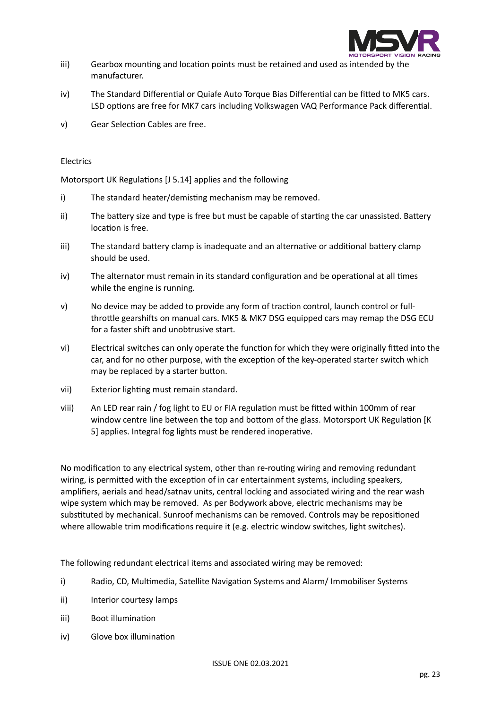

- iii) Gearbox mounting and location points must be retained and used as intended by the manufacturer.
- iv) The Standard Differential or Quiafe Auto Torque Bias Differential can be fitted to MK5 cars. LSD options are free for MK7 cars including Volkswagen VAQ Performance Pack differential.
- v) Gear Selection Cables are free.

# Electrics

Motorsport UK Regulations [J 5.14] applies and the following

- i) The standard heater/demisting mechanism may be removed.
- ii) The battery size and type is free but must be capable of starting the car unassisted. Battery location is free.
- iii) The standard battery clamp is inadequate and an alternative or additional battery clamp should be used.
- iv) The alternator must remain in its standard configuration and be operational at all times while the engine is running.
- v) No device may be added to provide any form of traction control, launch control or fullthrottle gearshifts on manual cars. MK5 & MK7 DSG equipped cars may remap the DSG ECU for a faster shift and unobtrusive start.
- vi) Electrical switches can only operate the function for which they were originally fitted into the car, and for no other purpose, with the exception of the key-operated starter switch which may be replaced by a starter button.
- vii) Exterior lighting must remain standard.
- viii) An LED rear rain / fog light to EU or FIA regulation must be fitted within 100mm of rear window centre line between the top and bottom of the glass. Motorsport UK Regulation [K 5] applies. Integral fog lights must be rendered inoperative.

No modification to any electrical system, other than re-routing wiring and removing redundant wiring, is permitted with the exception of in car entertainment systems, including speakers, amplifiers, aerials and head/satnav units, central locking and associated wiring and the rear wash wipe system which may be removed. As per Bodywork above, electric mechanisms may be substituted by mechanical. Sunroof mechanisms can be removed. Controls may be repositioned where allowable trim modifications require it (e.g. electric window switches, light switches).

The following redundant electrical items and associated wiring may be removed:

- i) Radio, CD, Multimedia, Satellite Navigation Systems and Alarm/ Immobiliser Systems
- ii) Interior courtesy lamps
- iii) Boot illumination
- iv) Glove box illumination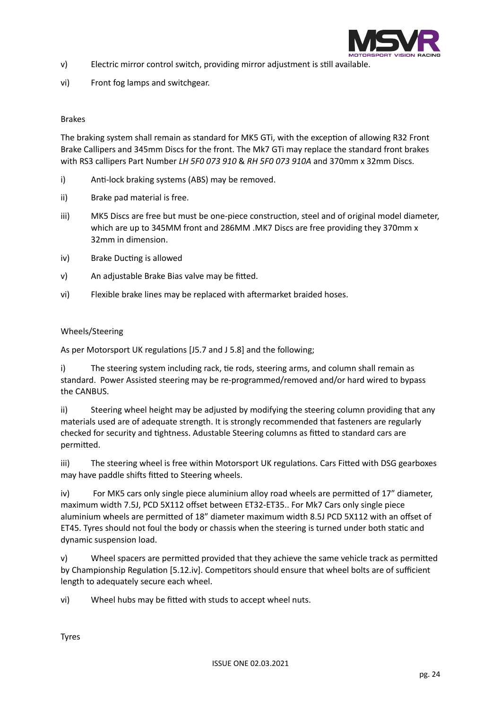

- v) Electric mirror control switch, providing mirror adjustment is still available.
- vi) Front fog lamps and switchgear.

# Brakes

The braking system shall remain as standard for MK5 GTi, with the exception of allowing R32 Front Brake Callipers and 345mm Discs for the front. The Mk7 GTi may replace the standard front brakes with RS3 callipers Part Number *LH 5F0 073 910* & *RH 5F0 073 910A* and 370mm x 32mm Discs.

- i) Anti-lock braking systems (ABS) may be removed.
- ii) Brake pad material is free.
- iii) MK5 Discs are free but must be one-piece construction, steel and of original model diameter, which are up to 345MM front and 286MM .MK7 Discs are free providing they 370mm x 32mm in dimension.
- iv) Brake Ducting is allowed
- v) An adjustable Brake Bias valve may be fitted.
- vi) Flexible brake lines may be replaced with aftermarket braided hoses.

# Wheels/Steering

As per Motorsport UK regulations [J5.7 and J 5.8] and the following;

i) The steering system including rack, tie rods, steering arms, and column shall remain as standard. Power Assisted steering may be re-programmed/removed and/or hard wired to bypass the CANBUS.

ii) Steering wheel height may be adjusted by modifying the steering column providing that any materials used are of adequate strength. It is strongly recommended that fasteners are regularly checked for security and tightness. Adustable Steering columns as fitted to standard cars are permitted.

iii) The steering wheel is free within Motorsport UK regulations. Cars Fitted with DSG gearboxes may have paddle shifts fitted to Steering wheels.

iv) For MK5 cars only single piece aluminium alloy road wheels are permitted of 17" diameter, maximum width 7.5J, PCD 5X112 offset between ET32-ET35.. For Mk7 Cars only single piece aluminium wheels are permitted of 18" diameter maximum width 8.5J PCD 5X112 with an offset of ET45. Tyres should not foul the body or chassis when the steering is turned under both static and dynamic suspension load.

v) Wheel spacers are permitted provided that they achieve the same vehicle track as permitted by Championship Regulation [5.12.iv]. Competitors should ensure that wheel bolts are of sufficient length to adequately secure each wheel.

vi) Wheel hubs may be fitted with studs to accept wheel nuts.

Tyres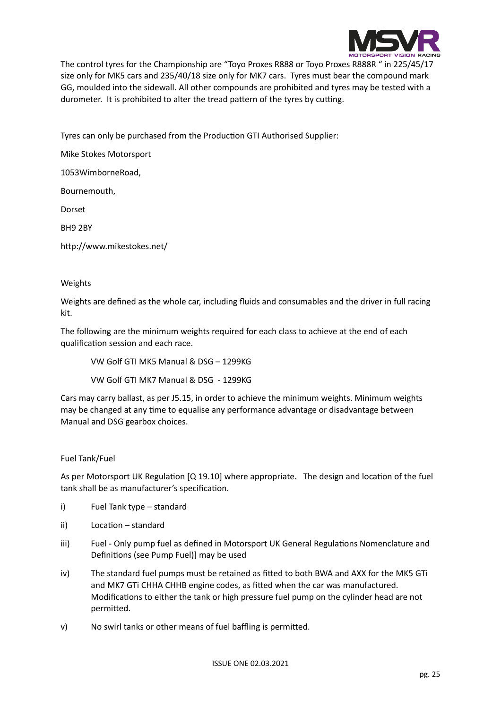

The control tyres for the Championship are "Toyo Proxes R888 or Toyo Proxes R888R " in 225/45/17 size only for MK5 cars and 235/40/18 size only for MK7 cars. Tyres must bear the compound mark GG, moulded into the sidewall. All other compounds are prohibited and tyres may be tested with a durometer. It is prohibited to alter the tread pattern of the tyres by cutting.

Tyres can only be purchased from the Production GTI Authorised Supplier:

Mike Stokes Motorsport

1053WimborneRoad,

Bournemouth,

Dorset

BH9 2BY

http://www.mikestokes.net/

# Weights

Weights are defined as the whole car, including fluids and consumables and the driver in full racing kit.

The following are the minimum weights required for each class to achieve at the end of each qualification session and each race.

VW Golf GTI MK5 Manual & DSG – 1299KG

VW Golf GTI MK7 Manual & DSG - 1299KG

Cars may carry ballast, as per J5.15, in order to achieve the minimum weights. Minimum weights may be changed at any time to equalise any performance advantage or disadvantage between Manual and DSG gearbox choices.

# Fuel Tank/Fuel

As per Motorsport UK Regulation [Q 19.10] where appropriate. The design and location of the fuel tank shall be as manufacturer's specification.

- i) Fuel Tank type standard
- ii) Location standard
- iii) Fuel Only pump fuel as defined in Motorsport UK General Regulations Nomenclature and Definitions (see Pump Fuel)] may be used
- iv) The standard fuel pumps must be retained as fitted to both BWA and AXX for the MK5 GTi and MK7 GTi CHHA CHHB engine codes, as fitted when the car was manufactured. Modifications to either the tank or high pressure fuel pump on the cylinder head are not permitted.
- v) No swirl tanks or other means of fuel baffling is permitted.